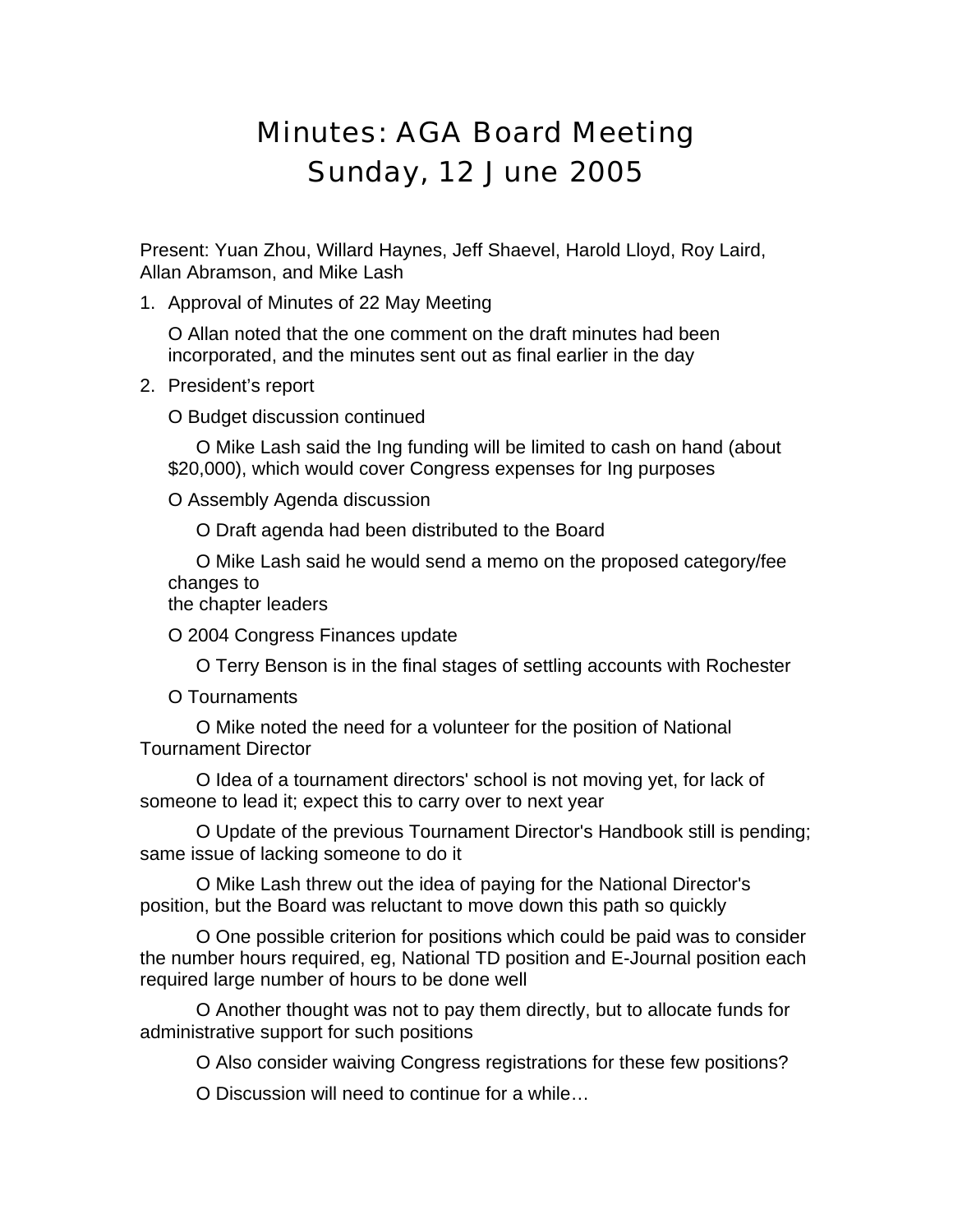## Minutes: AGA Board Meeting Sunday, 12 June 2005

Present: Yuan Zhou, Willard Haynes, Jeff Shaevel, Harold Lloyd, Roy Laird, Allan Abramson, and Mike Lash

1. Approval of Minutes of 22 May Meeting

O Allan noted that the one comment on the draft minutes had been incorporated, and the minutes sent out as final earlier in the day

2. President's report

O Budget discussion continued

O Mike Lash said the Ing funding will be limited to cash on hand (about \$20,000), which would cover Congress expenses for Ing purposes

O Assembly Agenda discussion

O Draft agenda had been distributed to the Board

O Mike Lash said he would send a memo on the proposed category/fee changes to

the chapter leaders

O 2004 Congress Finances update

O Terry Benson is in the final stages of settling accounts with Rochester

O Tournaments

O Mike noted the need for a volunteer for the position of National Tournament Director

O Idea of a tournament directors' school is not moving yet, for lack of someone to lead it; expect this to carry over to next year

O Update of the previous Tournament Director's Handbook still is pending; same issue of lacking someone to do it

O Mike Lash threw out the idea of paying for the National Director's position, but the Board was reluctant to move down this path so quickly

O One possible criterion for positions which could be paid was to consider the number hours required, eg, National TD position and E-Journal position each required large number of hours to be done well

O Another thought was not to pay them directly, but to allocate funds for administrative support for such positions

O Also consider waiving Congress registrations for these few positions?

O Discussion will need to continue for a while…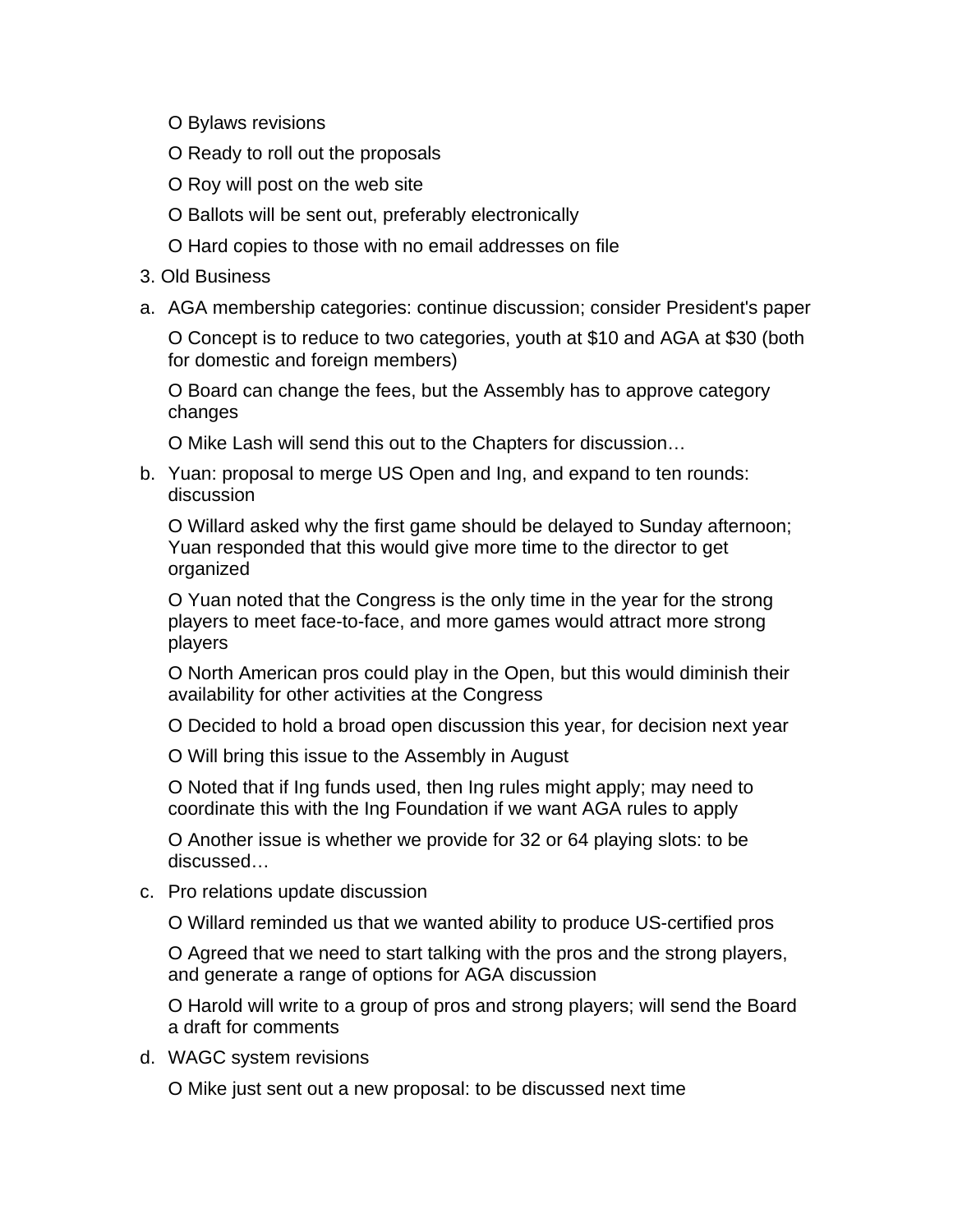- O Bylaws revisions
- O Ready to roll out the proposals
- O Roy will post on the web site
- O Ballots will be sent out, preferably electronically
- O Hard copies to those with no email addresses on file
- 3. Old Business
- a. AGA membership categories: continue discussion; consider President's paper

O Concept is to reduce to two categories, youth at \$10 and AGA at \$30 (both for domestic and foreign members)

O Board can change the fees, but the Assembly has to approve category changes

O Mike Lash will send this out to the Chapters for discussion…

b. Yuan: proposal to merge US Open and Ing, and expand to ten rounds: discussion

O Willard asked why the first game should be delayed to Sunday afternoon; Yuan responded that this would give more time to the director to get organized

O Yuan noted that the Congress is the only time in the year for the strong players to meet face-to-face, and more games would attract more strong players

O North American pros could play in the Open, but this would diminish their availability for other activities at the Congress

O Decided to hold a broad open discussion this year, for decision next year

O Will bring this issue to the Assembly in August

O Noted that if Ing funds used, then Ing rules might apply; may need to coordinate this with the Ing Foundation if we want AGA rules to apply

O Another issue is whether we provide for 32 or 64 playing slots: to be discussed…

c. Pro relations update discussion

O Willard reminded us that we wanted ability to produce US-certified pros

O Agreed that we need to start talking with the pros and the strong players, and generate a range of options for AGA discussion

O Harold will write to a group of pros and strong players; will send the Board a draft for comments

d. WAGC system revisions

O Mike just sent out a new proposal: to be discussed next time